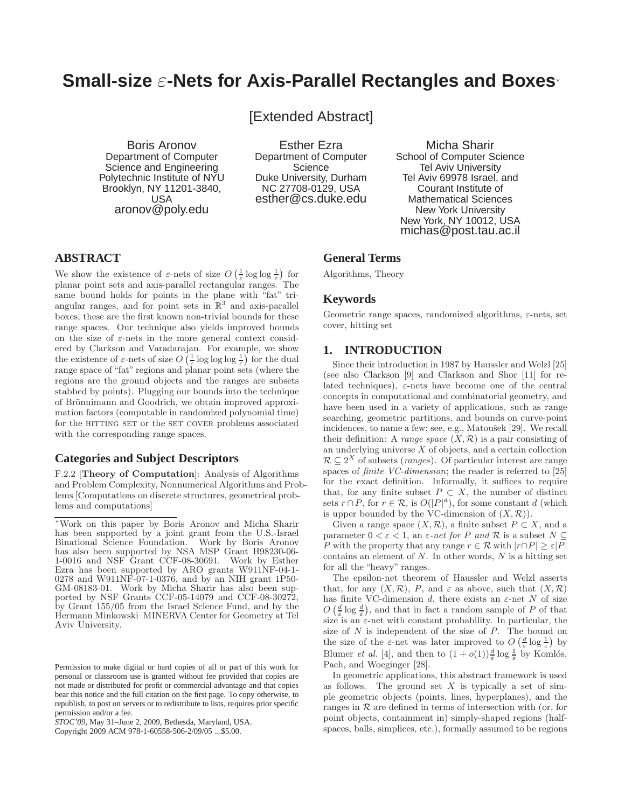# **Small-size** ε**-Nets for Axis-Parallel Rectangles and Boxes**<sup>∗</sup>

Boris Aronov Department of Computer Science and Engineering Polytechnic Institute of NYU Brooklyn, NY 11201-3840, USA aronov@poly.edu

[Extended Abstract]

Esther Ezra Department of Computer **Science** Duke University, Durham NC 27708-0129, USA esther@cs.duke.edu

Micha Sharir School of Computer Science Tel Aviv University Tel Aviv 69978 Israel, and Courant Institute of Mathematical Sciences New York University New York, NY 10012, USA michas@post.tau.ac.il

## **ABSTRACT**

We show the existence of  $\varepsilon$ -nets of size  $O\left(\frac{1}{\varepsilon}\log\log\frac{1}{\varepsilon}\right)$  for planar point sets and axis-parallel rectangular ranges. The same bound holds for points in the plane with "fat" triangular ranges, and for point sets in  $\mathbb{R}^3$  and axis-parallel boxes; these are the first known non-trivial bounds for these range spaces. Our technique also yields improved bounds on the size of  $\varepsilon$ -nets in the more general context considered by Clarkson and Varadarajan. For example, we show the existence of  $\varepsilon$ -nets of size  $O\left(\frac{1}{\varepsilon}\log\log\log\frac{1}{\varepsilon}\right)$  for the dual range space of "fat" regions and planar point sets (where the regions are the ground objects and the ranges are subsets stabbed by points). Plugging our bounds into the technique of Brönnimann and Goodrich, we obtain improved approximation factors (computable in randomized polynomial time) for the HITTING SET or the SET COVER problems associated with the corresponding range spaces.

## **Categories and Subject Descriptors**

F.2.2 [Theory of Computation]: Analysis of Algorithms and Problem Complexity, Nonnumerical Algorithms and Problems [Computations on discrete structures, geometrical problems and computations]

<sup>∗</sup>Work on this paper by Boris Aronov and Micha Sharir has been supported by a joint grant from the U.S.-Israel Binational Science Foundation. has also been supported by NSA MSP Grant H98230-06- 1-0016 and NSF Grant CCF-08-30691. Work by Esther Ezra has been supported by ARO grants W911NF-04-1- 0278 and W911NF-07-1-0376, and by an NIH grant 1P50- GM-08183-01. Work by Micha Sharir has also been supported by NSF Grants CCF-05-14079 and CCF-08-30272, by Grant 155/05 from the Israel Science Fund, and by the Hermann Minkowski–MINERVA Center for Geometry at Tel Aviv University.

Permission to make digital or hard copies of all or part of this work for personal or classroom use is granted without fee provided that copies are not made or distributed for profit or commercial advantage and that copies bear this notice and the full citation on the first page. To copy otherwise, to republish, to post on servers or to redistribute to lists, requires prior specific permission and/or a fee.

*STOC'09,* May 31–June 2, 2009, Bethesda, Maryland, USA.

Copyright 2009 ACM 978-1-60558-506-2/09/05 ...\$5.00.

## **General Terms**

Algorithms, Theory

#### **Keywords**

Geometric range spaces, randomized algorithms,  $\varepsilon$ -nets, set cover, hitting set

#### **1. INTRODUCTION**

Since their introduction in 1987 by Haussler and Welzl [25] (see also Clarkson [9] and Clarkson and Shor [11] for related techniques),  $\varepsilon$ -nets have become one of the central concepts in computational and combinatorial geometry, and have been used in a variety of applications, such as range searching, geometric partitions, and bounds on curve-point incidences, to name a few; see, e.g., Matoušek [29]. We recall their definition: A range space  $(X, \mathcal{R})$  is a pair consisting of an underlying universe  $X$  of objects, and a certain collection  $\mathcal{R} \subseteq 2^X$  of subsets (*ranges*). Of particular interest are range spaces of finite VC-dimension; the reader is referred to [25] for the exact definition. Informally, it suffices to require that, for any finite subset  $P \subset X$ , the number of distinct sets  $r \cap P$ , for  $r \in \mathcal{R}$ , is  $O(|P|^d)$ , for some constant d (which is upper bounded by the VC-dimension of  $(X, \mathcal{R})$ ).

Given a range space  $(X, \mathcal{R})$ , a finite subset  $P \subset X$ , and a parameter  $0 < \varepsilon < 1$ , an  $\varepsilon$ -net for P and R is a subset  $N \subseteq$ P with the property that any range  $r \in \mathcal{R}$  with  $|r \cap P| > \varepsilon |P|$ contains an element of  $N$ . In other words,  $N$  is a hitting set for all the "heavy" ranges.

The epsilon-net theorem of Haussler and Welzl asserts that, for any  $(X,\mathcal{R})$ , P, and  $\varepsilon$  as above, such that  $(X,\mathcal{R})$ has finite VC-dimension d, there exists an  $\varepsilon$ -net N of size  $O\left(\frac{d}{\varepsilon}\log\frac{d}{\varepsilon}\right)$ , and that in fact a random sample of P of that size is an  $\varepsilon$ -net with constant probability. In particular, the size of  $N$  is independent of the size of  $P$ . The bound on the size of the  $\varepsilon$ -net was later improved to  $O\left(\frac{d}{\varepsilon}\log\frac{1}{\varepsilon}\right)$  by Blumer *et al.* [4], and then to  $(1+o(1))\frac{d}{\varepsilon}\log\frac{1}{\varepsilon}$  by Komlós, Pach, and Woeginger [28].

In geometric applications, this abstract framework is used as follows. The ground set  $X$  is typically a set of simple geometric objects (points, lines, hyperplanes), and the ranges in  $R$  are defined in terms of intersection with (or, for point objects, containment in) simply-shaped regions (halfspaces, balls, simplices, etc.), formally assumed to be regions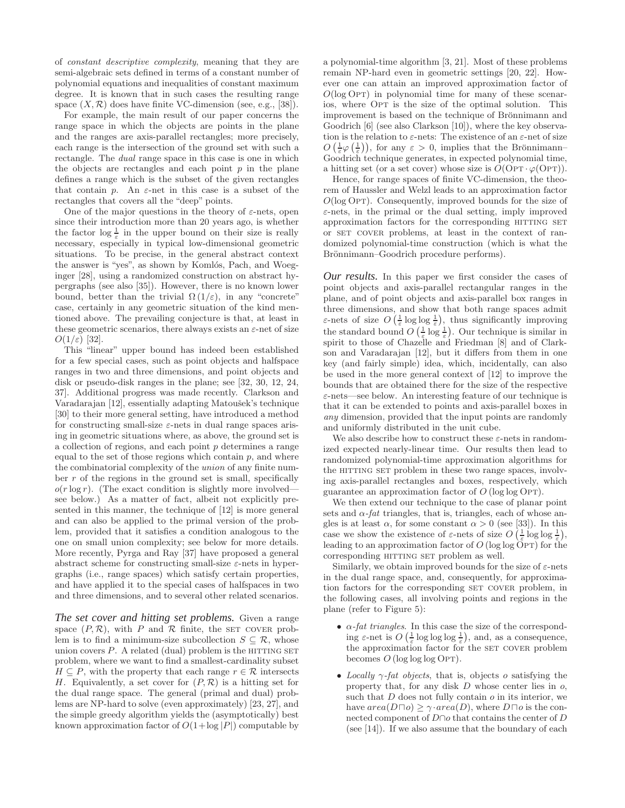of constant descriptive complexity, meaning that they are semi-algebraic sets defined in terms of a constant number of polynomial equations and inequalities of constant maximum degree. It is known that in such cases the resulting range space  $(X, \mathcal{R})$  does have finite VC-dimension (see, e.g., [38]).

For example, the main result of our paper concerns the range space in which the objects are points in the plane and the ranges are axis-parallel rectangles; more precisely, each range is the intersection of the ground set with such a rectangle. The *dual* range space in this case is one in which the objects are rectangles and each point  $p$  in the plane defines a range which is the subset of the given rectangles that contain p. An  $\varepsilon$ -net in this case is a subset of the rectangles that covers all the "deep" points.

One of the major questions in the theory of  $\varepsilon$ -nets, open since their introduction more than 20 years ago, is whether the factor  $\log \frac{1}{\varepsilon}$  in the upper bound on their size is really necessary, especially in typical low-dimensional geometric situations. To be precise, in the general abstract context the answer is "yes", as shown by Komlós, Pach, and Woeginger [28], using a randomized construction on abstract hypergraphs (see also [35]). However, there is no known lower bound, better than the trivial  $\Omega(1/\varepsilon)$ , in any "concrete" case, certainly in any geometric situation of the kind mentioned above. The prevailing conjecture is that, at least in these geometric scenarios, there always exists an  $\varepsilon$ -net of size  $O(1/\varepsilon)$  [32].

This "linear" upper bound has indeed been established for a few special cases, such as point objects and halfspace ranges in two and three dimensions, and point objects and disk or pseudo-disk ranges in the plane; see [32, 30, 12, 24, 37]. Additional progress was made recently. Clarkson and Varadarajan [12], essentially adapting Matoušek's technique [30] to their more general setting, have introduced a method for constructing small-size  $\varepsilon$ -nets in dual range spaces arising in geometric situations where, as above, the ground set is a collection of regions, and each point p determines a range equal to the set of those regions which contain  $p$ , and where the combinatorial complexity of the union of any finite number  $r$  of the regions in the ground set is small, specifically  $o(r \log r)$ . (The exact condition is slightly more involved see below.) As a matter of fact, albeit not explicitly presented in this manner, the technique of [12] is more general and can also be applied to the primal version of the problem, provided that it satisfies a condition analogous to the one on small union complexity; see below for more details. More recently, Pyrga and Ray [37] have proposed a general abstract scheme for constructing small-size  $\varepsilon$ -nets in hypergraphs (i.e., range spaces) which satisfy certain properties, and have applied it to the special cases of halfspaces in two and three dimensions, and to several other related scenarios.

*The set cover and hitting set problems.* Given a range space  $(P, \mathcal{R})$ , with P and  $\mathcal{R}$  finite, the set COVER problem is to find a minimum-size subcollection  $S \subseteq \mathcal{R}$ , whose union covers  $P$ . A related (dual) problem is the HITTING SET problem, where we want to find a smallest-cardinality subset  $H \subseteq P$ , with the property that each range  $r \in \mathcal{R}$  intersects H. Equivalently, a set cover for  $(P, \mathcal{R})$  is a hitting set for the dual range space. The general (primal and dual) problems are NP-hard to solve (even approximately) [23, 27], and the simple greedy algorithm yields the (asymptotically) best known approximation factor of  $O(1 + \log |P|)$  computable by

a polynomial-time algorithm [3, 21]. Most of these problems remain NP-hard even in geometric settings [20, 22]. However one can attain an improved approximation factor of  $O(\log \text{OPT})$  in polynomial time for many of these scenarios, where OPT is the size of the optimal solution. This improvement is based on the technique of Brönnimann and Goodrich [6] (see also Clarkson [10]), where the key observation is the relation to  $\varepsilon$ -nets: The existence of an  $\varepsilon$ -net of size  $O\left(\frac{1}{\varepsilon}\varphi\left(\frac{1}{\varepsilon}\right)\right)$ , for any  $\varepsilon > 0$ , implies that the Brönnimann– Goodrich technique generates, in expected polynomial time, a hitting set (or a set cover) whose size is  $O(OPT \cdot \varphi(OPT))$ .

Hence, for range spaces of finite VC-dimension, the theorem of Haussler and Welzl leads to an approximation factor  $O(\log \text{OPT})$ . Consequently, improved bounds for the size of  $\varepsilon$ -nets, in the primal or the dual setting, imply improved approximation factors for the corresponding HITTING SET or SET COVER problems, at least in the context of randomized polynomial-time construction (which is what the Brönnimann–Goodrich procedure performs).

*Our results.* In this paper we first consider the cases of point objects and axis-parallel rectangular ranges in the plane, and of point objects and axis-parallel box ranges in three dimensions, and show that both range spaces admit  $\varepsilon$ -nets of size  $O\left(\frac{1}{\varepsilon}\log\log\frac{1}{\varepsilon}\right)$ , thus significantly improving the standard bound  $O\left(\frac{1}{\varepsilon}\log\frac{1}{\varepsilon}\right)$ . Our technique is similar in spirit to those of Chazelle and Friedman [8] and of Clarkson and Varadarajan [12], but it differs from them in one key (and fairly simple) idea, which, incidentally, can also be used in the more general context of [12] to improve the bounds that are obtained there for the size of the respective ε-nets—see below. An interesting feature of our technique is that it can be extended to points and axis-parallel boxes in any dimension, provided that the input points are randomly and uniformly distributed in the unit cube.

We also describe how to construct these  $\varepsilon$ -nets in randomized expected nearly-linear time. Our results then lead to randomized polynomial-time approximation algorithms for the HITTING SET problem in these two range spaces, involving axis-parallel rectangles and boxes, respectively, which guarantee an approximation factor of  $O$  (log log Op $T$ ).

We then extend our technique to the case of planar point sets and  $\alpha$ -fat triangles, that is, triangles, each of whose angles is at least  $\alpha$ , for some constant  $\alpha > 0$  (see [33]). In this case we show the existence of  $\varepsilon$ -nets of size  $O\left(\frac{1}{\varepsilon}\log\log\frac{1}{\varepsilon}\right)$ , Leading to an approximation factor of O (log log OpT) for the corresponding HITTING SET problem as well.

Similarly, we obtain improved bounds for the size of  $\varepsilon$ -nets in the dual range space, and, consequently, for approximation factors for the corresponding SET COVER problem, in the following cases, all involving points and regions in the plane (refer to Figure 5):

- $\alpha$ -fat triangles. In this case the size of the corresponding  $\varepsilon$ -net is  $O\left(\frac{1}{\varepsilon}\log\log\log\frac{1}{\varepsilon}\right)$ , and, as a consequence, the approximation factor for the SET COVER problem becomes  $O$  (log log log OPT).
- Locally  $\gamma$ -fat objects, that is, objects o satisfying the property that, for any disk  $D$  whose center lies in  $o$ , such that  $D$  does not fully contain  $o$  in its interior, we have  $area(D\sqcap o) \geq \gamma \cdot area(D)$ , where  $D\sqcap o$  is the connected component of D∩o that contains the center of D (see [14]). If we also assume that the boundary of each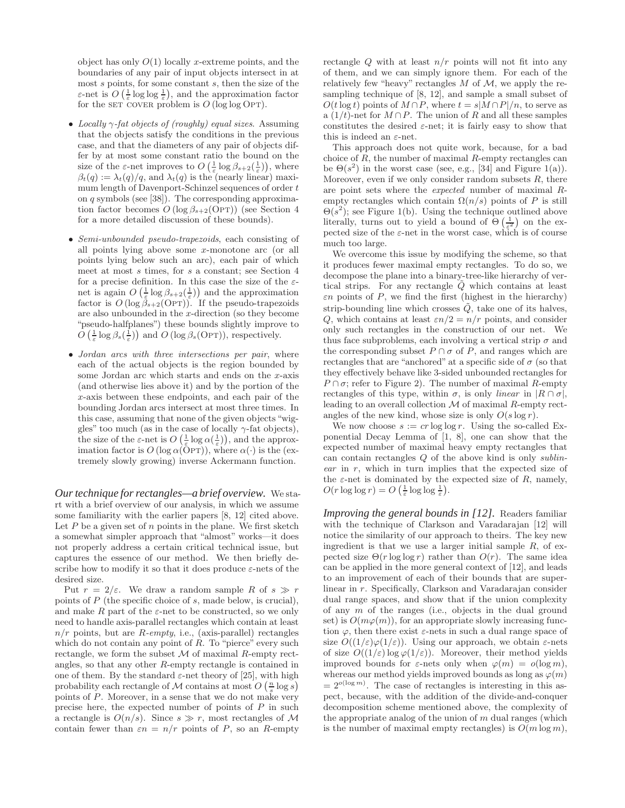object has only  $O(1)$  locally x-extreme points, and the boundaries of any pair of input objects intersect in at most s points, for some constant s, then the size of the  $\varepsilon$ -net is  $O\left(\frac{1}{\varepsilon}\log\log\frac{1}{\varepsilon}\right)$ , and the approximation factor for the set cover problem is  $O(\log \log \text{OPT})$ .

- Locally  $\gamma$ -fat objects of (roughly) equal sizes. Assuming that the objects satisfy the conditions in the previous case, and that the diameters of any pair of objects differ by at most some constant ratio the bound on the size of the  $\varepsilon$ -net improves to  $O\left(\frac{1}{\varepsilon}\log \beta_{s+2}(\frac{1}{\varepsilon})\right)$ , where  $\beta_t(q) := \lambda_t(q)/q$ , and  $\lambda_t(q)$  is the (nearly linear) maximum length of Davenport-Schinzel sequences of order t on q symbols (see [38]). The corresponding approximation factor becomes  $O(\log \beta_{s+2}(\text{OPT}))$  (see Section 4 for a more detailed discussion of these bounds).
- Semi-unbounded pseudo-trapezoids, each consisting of all points lying above some x-monotone arc (or all points lying below such an arc), each pair of which meet at most s times, for s a constant; see Section 4 for a precise definition. In this case the size of the  $\varepsilon$ net is again  $O\left(\frac{1}{\varepsilon}\log \beta_{s+2}(\frac{1}{\varepsilon})\right)$  and the approximation factor is  $O(\log \beta_{s+2}(\text{OPT}))$ . If the pseudo-trapezoids are also unbounded in the x-direction (so they become "pseudo-halfplanes") these bounds slightly improve to  $O\left(\frac{1}{\varepsilon}\log\beta_s\left(\frac{1}{\varepsilon}\right)\right)$  and  $O\left(\log\beta_s\left(\text{OPT}\right)\right)$ , respectively.
- Jordan arcs with three intersections per pair, where each of the actual objects is the region bounded by some Jordan arc which starts and ends on the  $x$ -axis (and otherwise lies above it) and by the portion of the x-axis between these endpoints, and each pair of the bounding Jordan arcs intersect at most three times. In this case, assuming that none of the given objects "wiggles" too much (as in the case of locally  $\gamma$ -fat objects), the size of the  $\varepsilon$ -net is  $O\left(\frac{1}{\varepsilon}\log \alpha(\frac{1}{\varepsilon})\right)$ , and the approximation factor is  $O(\log \alpha(\widehat{OPT}))$ , where  $\alpha(\cdot)$  is the (extremely slowly growing) inverse Ackermann function.

*Our technique for rectangles—a brief overview.* We start with a brief overview of our analysis, in which we assume some familiarity with the earlier papers [8, 12] cited above. Let  $P$  be a given set of  $n$  points in the plane. We first sketch a somewhat simpler approach that "almost" works—it does not properly address a certain critical technical issue, but captures the essence of our method. We then briefly describe how to modify it so that it does produce  $\varepsilon$ -nets of the desired size.

Put  $r = 2/\varepsilon$ . We draw a random sample R of  $s \gg r$ points of P (the specific choice of s, made below, is crucial), and make R part of the  $\varepsilon$ -net to be constructed, so we only need to handle axis-parallel rectangles which contain at least  $n/r$  points, but are R-empty, i.e., (axis-parallel) rectangles which do not contain any point of  $R$ . To "pierce" every such rectangle, we form the subset  $M$  of maximal R-empty rectangles, so that any other R-empty rectangle is contained in one of them. By the standard  $\varepsilon$ -net theory of [25], with high probability each rectangle of  $\mathcal M$  contains at most  $O\left(\frac{n}{s}\log s\right)$ points of P. Moreover, in a sense that we do not make very precise here, the expected number of points of P in such a rectangle is  $O(n/s)$ . Since  $s \gg r$ , most rectangles of M contain fewer than  $\varepsilon n = n/r$  points of P, so an R-empty rectangle Q with at least  $n/r$  points will not fit into any of them, and we can simply ignore them. For each of the relatively few "heavy" rectangles  $M$  of  $M$ , we apply the resampling technique of [8, 12], and sample a small subset of  $O(t \log t)$  points of  $M \cap P$ , where  $t = s|M \cap P|/n$ , to serve as a  $(1/t)$ -net for  $M \cap P$ . The union of R and all these samples constitutes the desired  $\varepsilon$ -net; it is fairly easy to show that this is indeed an  $\varepsilon$ -net.

This approach does not quite work, because, for a bad choice of  $R$ , the number of maximal  $R$ -empty rectangles can be  $\Theta(s^2)$  in the worst case (see, e.g., [34] and Figure 1(a)). Moreover, even if we only consider random subsets  $R$ , there are point sets where the expected number of maximal Rempty rectangles which contain  $\Omega(n/s)$  points of P is still  $\Theta(s^2)$ ; see Figure 1(b). Using the technique outlined above literally, turns out to yield a bound of  $\Theta\left(\frac{1}{\epsilon^2}\right)$  on the expected size of the  $\varepsilon$ -net in the worst case, which is of course much too large.

We overcome this issue by modifying the scheme, so that it produces fewer maximal empty rectangles. To do so, we decompose the plane into a binary-tree-like hierarchy of vertical strips. For any rectangle  $\tilde{Q}$  which contains at least  $\varepsilon$ n points of P, we find the first (highest in the hierarchy) strip-bounding line which crosses  $\tilde{Q}$ , take one of its halves, Q, which contains at least  $\varepsilon n/2 = n/r$  points, and consider only such rectangles in the construction of our net. We thus face subproblems, each involving a vertical strip  $\sigma$  and the corresponding subset  $P \cap \sigma$  of P, and ranges which are rectangles that are "anchored" at a specific side of  $\sigma$  (so that they effectively behave like 3-sided unbounded rectangles for  $P \cap \sigma$ ; refer to Figure 2). The number of maximal R-empty rectangles of this type, within  $\sigma$ , is only *linear* in  $|R \cap \sigma|$ , leading to an overall collection  $M$  of maximal  $R$ -empty rectangles of the new kind, whose size is only  $O(s \log r)$ .

We now choose  $s := cr \log \log r$ . Using the so-called Exponential Decay Lemma of [1, 8], one can show that the expected number of maximal heavy empty rectangles that can contain rectangles Q of the above kind is only sublinear in  $r$ , which in turn implies that the expected size of the  $\varepsilon$ -net is dominated by the expected size of R, namely,  $O(r \log \log r) = O\left(\frac{1}{\varepsilon} \log \log \frac{1}{\varepsilon}\right).$ 

*Improving the general bounds in [12].* Readers familiar with the technique of Clarkson and Varadarajan [12] will notice the similarity of our approach to theirs. The key new ingredient is that we use a larger initial sample  $R$ , of expected size  $\Theta(r \log \log r)$  rather than  $O(r)$ . The same idea can be applied in the more general context of [12], and leads to an improvement of each of their bounds that are superlinear in r. Specifically, Clarkson and Varadarajan consider dual range spaces, and show that if the union complexity of any  $m$  of the ranges (i.e., objects in the dual ground set) is  $O(m\varphi(m))$ , for an appropriate slowly increasing function  $\varphi$ , then there exist  $\varepsilon$ -nets in such a dual range space of size  $O((1/\varepsilon)\varphi(1/\varepsilon))$ . Using our approach, we obtain  $\varepsilon$ -nets of size  $O((1/\varepsilon) \log \varphi(1/\varepsilon))$ . Moreover, their method yields improved bounds for  $\varepsilon$ -nets only when  $\varphi(m) = o(\log m)$ , whereas our method yields improved bounds as long as  $\varphi(m)$  $= 2^{o(\log m)}$ . The case of rectangles is interesting in this aspect, because, with the addition of the divide-and-conquer decomposition scheme mentioned above, the complexity of the appropriate analog of the union of  $m$  dual ranges (which is the number of maximal empty rectangles) is  $O(m \log m)$ ,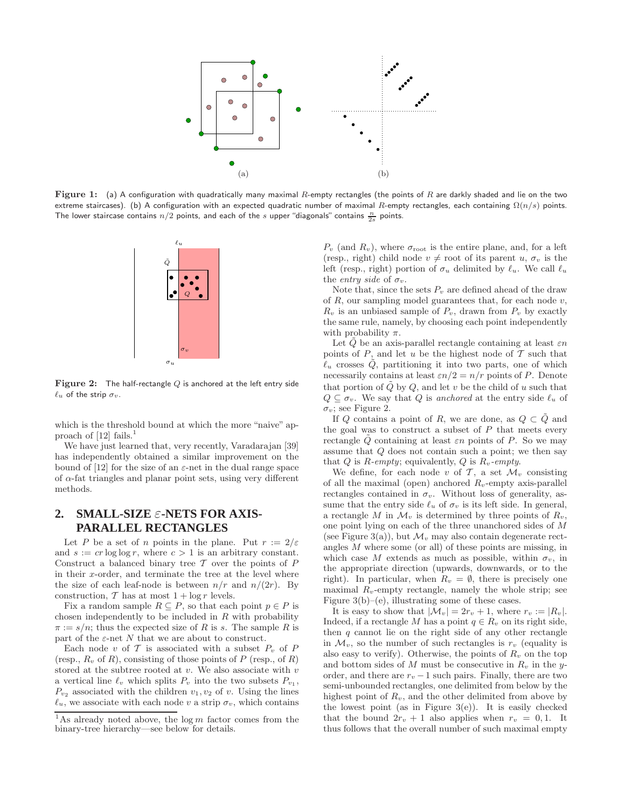

Figure 1: (a) A configuration with quadratically many maximal  $R$ -empty rectangles (the points of  $R$  are darkly shaded and lie on the two extreme staircases). (b) A configuration with an expected quadratic number of maximal R-empty rectangles, each containing  $\Omega(n/s)$  points. The lower staircase contains  $n/2$  points, and each of the  $s$  upper "diagonals" contains  $\frac{n}{2s}$  points.



Figure 2: The half-rectangle  $Q$  is anchored at the left entry side  $\ell_u$  of the strip  $\sigma_v$ .

which is the threshold bound at which the more "naive" approach of  $[12]$  fails.<sup>1</sup>

We have just learned that, very recently, Varadarajan [39] has independently obtained a similar improvement on the bound of [12] for the size of an  $\varepsilon$ -net in the dual range space of  $\alpha$ -fat triangles and planar point sets, using very different methods.

## **2. SMALL-SIZE** ε**-NETS FOR AXIS-PARALLEL RECTANGLES**

Let P be a set of n points in the plane. Put  $r := 2/\varepsilon$ and  $s := cr \log \log r$ , where  $c > 1$  is an arbitrary constant. Construct a balanced binary tree  $\mathcal T$  over the points of  $P$ in their x-order, and terminate the tree at the level where the size of each leaf-node is between  $n/r$  and  $n/(2r)$ . By construction,  $\mathcal T$  has at most  $1 + \log r$  levels.

Fix a random sample  $R \subseteq P$ , so that each point  $p \in P$  is chosen independently to be included in  $R$  with probability  $\pi := s/n$ ; thus the expected size of R is s. The sample R is part of the  $\varepsilon$ -net N that we are about to construct.

Each node v of  $\mathcal T$  is associated with a subset  $P_v$  of  $P$ (resp.,  $R_v$  of R), consisting of those points of P (resp., of R) stored at the subtree rooted at  $v$ . We also associate with  $v$ a vertical line  $\ell_v$  which splits  $P_v$  into the two subsets  $P_{v_1}$ ,  $P_{v_2}$  associated with the children  $v_1, v_2$  of v. Using the lines  $\ell_u$ , we associate with each node v a strip  $\sigma_v$ , which contains

 $P_v$  (and  $R_v$ ), where  $\sigma_{\text{root}}$  is the entire plane, and, for a left (resp., right) child node  $v \neq$  root of its parent u,  $\sigma_v$  is the left (resp., right) portion of  $\sigma_u$  delimited by  $\ell_u$ . We call  $\ell_u$ the entry side of  $\sigma_v$ .

Note that, since the sets  $P_v$  are defined ahead of the draw of  $R$ , our sampling model guarantees that, for each node  $v$ ,  $R_v$  is an unbiased sample of  $P_v$ , drawn from  $P_v$  by exactly the same rule, namely, by choosing each point independently with probability  $\pi$ .

Let Q be an axis-parallel rectangle containing at least  $\varepsilon n$ points of  $P$ , and let  $u$  be the highest node of  $T$  such that  $\ell_u$  crosses  $\tilde{Q}$ , partitioning it into two parts, one of which necessarily contains at least  $\varepsilon n/2 = n/r$  points of P. Denote that portion of  $\tilde{Q}$  by  $Q$ , and let v be the child of u such that  $Q \subseteq \sigma_v$ . We say that Q is anchored at the entry side  $\ell_u$  of  $\sigma_v$ ; see Figure 2.

If Q contains a point of R, we are done, as  $Q \subset \tilde{Q}$  and the goal was to construct a subset of  $P$  that meets every rectangle Q containing at least  $\varepsilon n$  points of P. So we may assume that Q does not contain such a point; we then say that Q is R-empty; equivalently, Q is  $R_v$ -empty.

We define, for each node v of  $\mathcal{T}$ , a set  $\mathcal{M}_v$  consisting of all the maximal (open) anchored  $R_v$ -empty axis-parallel rectangles contained in  $\sigma_v$ . Without loss of generality, assume that the entry side  $\ell_u$  of  $\sigma_v$  is its left side. In general, a rectangle M in  $\mathcal{M}_v$  is determined by three points of  $R_v$ , one point lying on each of the three unanchored sides of M (see Figure 3(a)), but  $\mathcal{M}_v$  may also contain degenerate rectangles M where some (or all) of these points are missing, in which case M extends as much as possible, within  $\sigma_v$ , in the appropriate direction (upwards, downwards, or to the right). In particular, when  $R_v = \emptyset$ , there is precisely one maximal  $R_v$ -empty rectangle, namely the whole strip; see Figure  $3(b)$ –(e), illustrating some of these cases.

It is easy to show that  $|\mathcal{M}_v| = 2r_v + 1$ , where  $r_v := |R_v|$ . Indeed, if a rectangle M has a point  $q \in R_v$  on its right side, then  $q$  cannot lie on the right side of any other rectangle in  $\mathcal{M}_v$ , so the number of such rectangles is  $r_v$  (equality is also easy to verify). Otherwise, the points of  $R_v$  on the top and bottom sides of M must be consecutive in  $R_v$  in the yorder, and there are  $r_v - 1$  such pairs. Finally, there are two semi-unbounded rectangles, one delimited from below by the highest point of  $R_v$ , and the other delimited from above by the lowest point (as in Figure  $3(e)$ ). It is easily checked that the bound  $2r_v + 1$  also applies when  $r_v = 0, 1$ . It thus follows that the overall number of such maximal empty

<sup>&</sup>lt;sup>1</sup>As already noted above, the  $\log m$  factor comes from the binary-tree hierarchy—see below for details.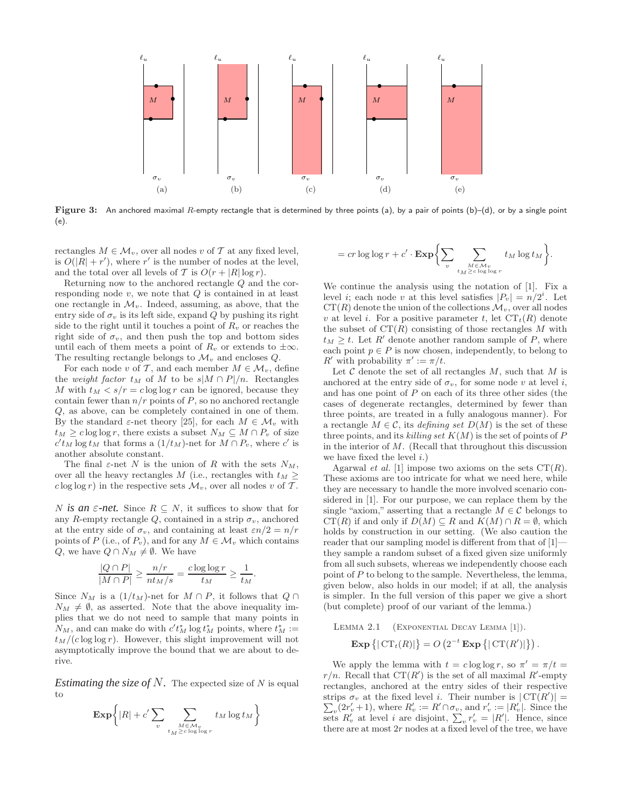

Figure 3: An anchored maximal R-empty rectangle that is determined by three points (a), by a pair of points (b)–(d), or by a single point (e).

rectangles  $M \in \mathcal{M}_v$ , over all nodes v of T at any fixed level, is  $O(|R| + r')$ , where r' is the number of nodes at the level, and the total over all levels of T is  $O(r+|R|\log r)$ .

Returning now to the anchored rectangle Q and the corresponding node  $v$ , we note that  $Q$  is contained in at least one rectangle in  $\mathcal{M}_v$ . Indeed, assuming, as above, that the entry side of  $\sigma_v$  is its left side, expand Q by pushing its right side to the right until it touches a point of  $R_v$  or reaches the right side of  $\sigma_v$ , and then push the top and bottom sides until each of them meets a point of  $R_v$  or extends to  $\pm \infty$ . The resulting rectangle belongs to  $\mathcal{M}_v$  and encloses  $Q$ .

For each node v of T, and each member  $M \in \mathcal{M}_v$ , define the weight factor  $t_M$  of M to be  $s|M \cap P|/n$ . Rectangles M with  $t_M < s/r = c \log \log r$  can be ignored, because they contain fewer than  $n/r$  points of P, so no anchored rectangle Q, as above, can be completely contained in one of them. By the standard  $\varepsilon$ -net theory [25], for each  $M \in \mathcal{M}_v$  with  $t_M \geq c \log \log r$ , there exists a subset  $N_M \subseteq M \cap P_v$  of size  $c't_M \log t_M$  that forms a  $(1/t_M)$ -net for  $M \cap P_v$ , where  $c'$  is another absolute constant.

The final  $\varepsilon$ -net N is the union of R with the sets  $N_M$ , over all the heavy rectangles M (i.e., rectangles with  $t_M \geq$ c log log r) in the respective sets  $\mathcal{M}_v$ , over all nodes v of T.

*N* is an  $\varepsilon$ -net. Since  $R \subseteq N$ , it suffices to show that for any R-empty rectangle Q, contained in a strip  $\sigma_v$ , anchored at the entry side of  $\sigma_v$ , and containing at least  $\epsilon n/2 = n/r$ points of P (i.e., of  $P_v$ ), and for any  $M \in \mathcal{M}_v$  which contains Q, we have  $Q \cap N_M \neq \emptyset$ . We have

$$
\frac{|Q \cap P|}{|M \cap P|} \ge \frac{n/r}{nt_M/s} = \frac{c \log \log r}{t_M} \ge \frac{1}{t_M}.
$$

Since  $N_M$  is a  $(1/t_M)$ -net for  $M \cap P$ , it follows that  $Q \cap$  $N_M \neq \emptyset$ , as asserted. Note that the above inequality implies that we do not need to sample that many points in  $N_M$ , and can make do with  $c't_M^*$  log  $t_M^*$  points, where  $t_M^* :=$  $t_M/(c \log \log r)$ . However, this slight improvement will not asymptotically improve the bound that we are about to derive.

*Estimating the size of*  $N$ . The expected size of  $N$  is equal to

$$
\mathbf{Exp}\bigg\{|R| + c'\sum_{v}\sum_{\substack{M \in \mathcal{M}_v \\ t_M \geq c\log\log r}} t_M\log t_M\bigg\}
$$

$$
= cr \log \log r + c' \cdot \mathbf{Exp} \bigg\{ \sum_{v} \sum_{\substack{M \in \mathcal{M}_v \\ t_M \geq c \log \log r}} t_M \log t_M \bigg\}.
$$

We continue the analysis using the notation of [1]. Fix a level *i*; each node *v* at this level satisfies  $|P_v| = n/2^i$ . Let  $CT(R)$  denote the union of the collections  $\mathcal{M}_v$ , over all nodes v at level i. For a positive parameter t, let  $CT<sub>t</sub>(R)$  denote the subset of  $CT(R)$  consisting of those rectangles M with  $t_M \geq t$ . Let R' denote another random sample of P, where each point  $p \in P$  is now chosen, independently, to belong to R' with probability  $\pi' := \pi/t$ .

Let  $\mathcal C$  denote the set of all rectangles  $M$ , such that  $M$  is anchored at the entry side of  $\sigma_v$ , for some node v at level i, and has one point of  $P$  on each of its three other sides (the cases of degenerate rectangles, determined by fewer than three points, are treated in a fully analogous manner). For a rectangle  $M \in \mathcal{C}$ , its *defining set*  $D(M)$  is the set of these three points, and its killing set  $K(M)$  is the set of points of P in the interior of  $M$ . (Recall that throughout this discussion we have fixed the level  $i.$ )

Agarwal *et al.* [1] impose two axioms on the sets  $CT(R)$ . These axioms are too intricate for what we need here, while they are necessary to handle the more involved scenario considered in [1]. For our purpose, we can replace them by the single "axiom," asserting that a rectangle  $M \in \mathcal{C}$  belongs to  $CT(R)$  if and only if  $D(M) \subseteq R$  and  $K(M) \cap R = \emptyset$ , which holds by construction in our setting. (We also caution the reader that our sampling model is different from that of [1] they sample a random subset of a fixed given size uniformly from all such subsets, whereas we independently choose each point of  $P$  to belong to the sample. Nevertheless, the lemma, given below, also holds in our model; if at all, the analysis is simpler. In the full version of this paper we give a short (but complete) proof of our variant of the lemma.)

LEMMA 2.1 (EXPONENTIAL DECAY LEMMA [1]).  
**Exp** { 
$$
| \operatorname{CT}_t(R) |
$$
 } =  $O(2^{-t} \operatorname{Exp} \{ | \operatorname{CT}(R') | \})$ .

We apply the lemma with  $t = c \log \log r$ , so  $\pi' = \pi/t$  $r/n$ . Recall that  $CT(R')$  is the set of all maximal  $R'$ -empty rectangles, anchored at the entry sides of their respective strips  $\sigma_v$  at the fixed level *i*. Their number is  $|CT(R')|$  =  $\sum_{v} (2r'_{v} + 1)$ , where  $R'_{v} := R' \cap \sigma_{v}$ , and  $r'_{v} := |R'_{v}|$ . Since the sets  $R'_v$  at level *i* are disjoint,  $\sum_v r'_v = |R'|$ . Hence, since there are at most  $2r$  nodes at a fixed level of the tree, we have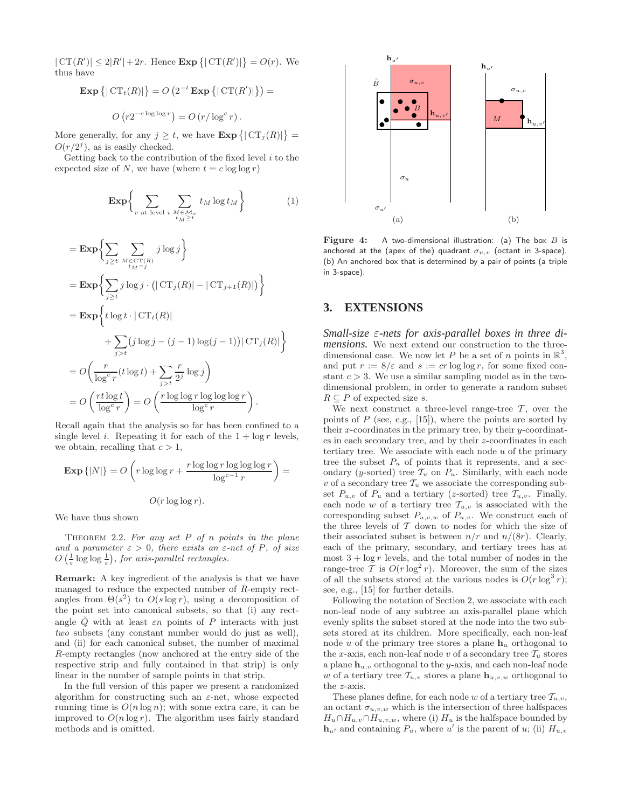$|\mathrm{CT}(R')| \leq 2|R'| + 2r$ . Hence  $\text{Exp} \{ |\mathrm{CT}(R')| \} = O(r)$ . We thus have

$$
\mathbf{Exp} \left\{ |\operatorname{CT}_t(R)| \right\} = O \left( 2^{-t} \operatorname{Exp} \left\{ |\operatorname{CT}(R')| \right\} \right) =
$$

$$
O(r2^{-c \log \log r}) = O(r/\log^c r).
$$

More generally, for any  $j \geq t$ , we have  $\mathbf{Exp} \{|\mathbf{CT}_j(R)|\} =$  $O(r/2^j)$ , as is easily checked.

Getting back to the contribution of the fixed level  $i$  to the expected size of N, we have (where  $t = c \log \log r$ )

$$
\mathbf{Exp}\left\{\sum_{v \text{ at level } i} \sum_{\substack{M \in \mathcal{M}_v \\ t_M \ge t}} t_M \log t_M \right\} \tag{1}
$$

$$
= \mathbf{Exp} \Biggl\{ \sum_{j \ge t} \sum_{\substack{M \in \text{CT}(R) \\ t_M = j}} j \log j \Biggr\}
$$
  
\n
$$
= \mathbf{Exp} \Biggl\{ \sum_{j \ge t} j \log j \cdot (|\text{CT}_j(R)| - |\text{CT}_{j+1}(R)|) \Biggr\}
$$
  
\n
$$
= \mathbf{Exp} \Biggl\{ t \log t \cdot |\text{CT}_t(R)|
$$
  
\n
$$
+ \sum_{j > t} (j \log j - (j - 1) \log (j - 1)) |\text{CT}_j(R)| \Biggr\}
$$
  
\n
$$
= O \Biggl( \frac{r}{\log^c r} (t \log t) + \sum_{j > t} \frac{r}{2^j} \log j \Biggr)
$$
  
\n
$$
= O \Biggl( \frac{rt \log t}{\log^c r} \Biggr) = O \Biggl( \frac{r \log \log r \log \log \log r}{\log^c r} \Biggr).
$$

Recall again that the analysis so far has been confined to a single level i. Repeating it for each of the  $1 + \log r$  levels, we obtain, recalling that  $c > 1$ ,

$$
\mathbf{Exp} \{|N|\} = O\left(r \log \log r + \frac{r \log \log r \log \log \log r}{\log^{c-1} r}\right) = O(r \log \log r).
$$

We have thus shown

THEOREM 2.2. For any set  $P$  of  $n$  points in the plane and a parameter  $\varepsilon > 0$ , there exists an  $\varepsilon$ -net of P, of size  $O\left(\frac{1}{\varepsilon}\log\log\frac{1}{\varepsilon}\right)$ , for axis-parallel rectangles.

Remark: A key ingredient of the analysis is that we have managed to reduce the expected number of R-empty rectangles from  $\Theta(s^2)$  to  $O(s \log r)$ , using a decomposition of the point set into canonical subsets, so that (i) any rectangle  $\tilde{Q}$  with at least  $\varepsilon n$  points of P interacts with just two subsets (any constant number would do just as well), and (ii) for each canonical subset, the number of maximal R-empty rectangles (now anchored at the entry side of the respective strip and fully contained in that strip) is only linear in the number of sample points in that strip.

In the full version of this paper we present a randomized algorithm for constructing such an  $\varepsilon$ -net, whose expected running time is  $O(n \log n)$ ; with some extra care, it can be improved to  $O(n \log r)$ . The algorithm uses fairly standard methods and is omitted.



Figure 4: A two-dimensional illustration: (a) The box  $B$  is anchored at the (apex of the) quadrant  $\sigma_{u,v}$  (octant in 3-space). (b) An anchored box that is determined by a pair of points (a triple in 3-space).

## **3. EXTENSIONS**

*Small-size* ε*-nets for axis-parallel boxes in three dimensions.* We next extend our construction to the threedimensional case. We now let P be a set of n points in  $\mathbb{R}^3$ , and put  $r := 8/\varepsilon$  and  $s := cr \log \log r$ , for some fixed constant  $c > 3$ . We use a similar sampling model as in the twodimensional problem, in order to generate a random subset  $R \subseteq P$  of expected size s.

We next construct a three-level range-tree  $\mathcal T$ , over the points of  $P$  (see, e.g., [15]), where the points are sorted by their x-coordinates in the primary tree, by their y-coordinates in each secondary tree, and by their z-coordinates in each tertiary tree. We associate with each node u of the primary tree the subset  $P_u$  of points that it represents, and a secondary (y-sorted) tree  $\mathcal{T}_u$  on  $P_u$ . Similarly, with each node v of a secondary tree  $\mathcal{T}_u$  we associate the corresponding subset  $P_{u,v}$  of  $P_u$  and a tertiary (z-sorted) tree  $\mathcal{T}_{u,v}$ . Finally, each node w of a tertiary tree  $\mathcal{T}_{u,v}$  is associated with the corresponding subset  $P_{u,v,w}$  of  $P_{u,v}$ . We construct each of the three levels of  $T$  down to nodes for which the size of their associated subset is between  $n/r$  and  $n/(8r)$ . Clearly, each of the primary, secondary, and tertiary trees has at most  $3 + \log r$  levels, and the total number of nodes in the range-tree T is  $O(r \log^2 r)$ . Moreover, the sum of the sizes of all the subsets stored at the various nodes is  $O(r \log^3 r)$ ; see, e.g., [15] for further details.

Following the notation of Section 2, we associate with each non-leaf node of any subtree an axis-parallel plane which evenly splits the subset stored at the node into the two subsets stored at its children. More specifically, each non-leaf node u of the primary tree stores a plane  $h_u$  orthogonal to the x-axis, each non-leaf node v of a secondary tree  $\mathcal{T}_u$  stores a plane  $h_{u,v}$  orthogonal to the y-axis, and each non-leaf node w of a tertiary tree  $\mathcal{T}_{u,v}$  stores a plane  $\mathbf{h}_{u,v,w}$  orthogonal to the z-axis.

These planes define, for each node w of a tertiary tree  $\mathcal{T}_{u,v}$ , an octant  $\sigma_{u,v,w}$  which is the intersection of three halfspaces  $H_u \cap H_{u,v} \cap H_{u,v,w}$ , where (i)  $H_u$  is the halfspace bounded by  $\mathbf{h}_{u'}$  and containing  $P_u$ , where u' is the parent of u; (ii)  $H_{u,v}$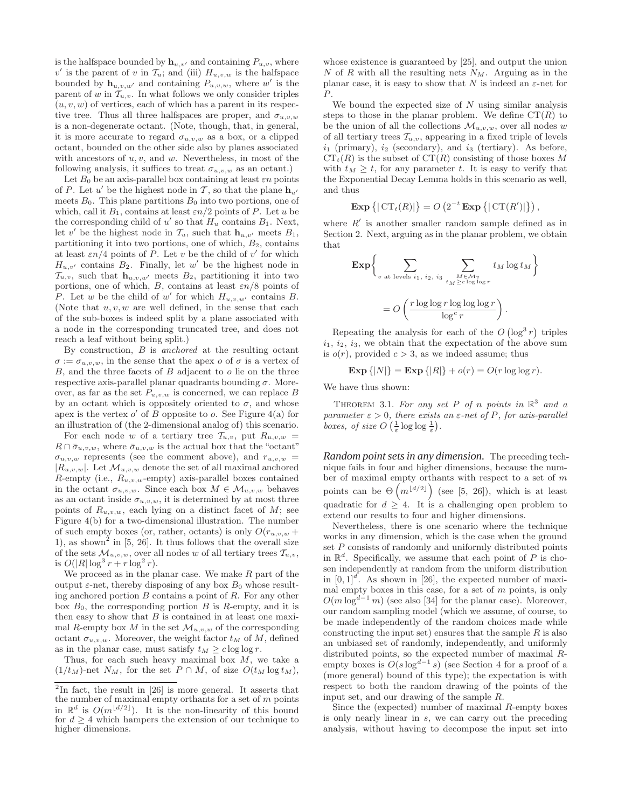is the halfspace bounded by  $\mathbf{h}_{u,v'}$  and containing  $P_{u,v}$ , where v' is the parent of v in  $\mathcal{T}_u$ ; and (iii)  $H_{u,v,w}$  is the halfspace bounded by  $\mathbf{h}_{u,v,w'}$  and containing  $P_{u,v,w}$ , where w' is the parent of w in  $\mathcal{T}_{u,v}$ . In what follows we only consider triples  $(u, v, w)$  of vertices, each of which has a parent in its respective tree. Thus all three halfspaces are proper, and  $\sigma_{u,v,w}$ is a non-degenerate octant. (Note, though, that, in general, it is more accurate to regard  $\sigma_{u,v,w}$  as a box, or a clipped octant, bounded on the other side also by planes associated with ancestors of  $u, v$ , and  $w$ . Nevertheless, in most of the following analysis, it suffices to treat  $\sigma_{u,v,w}$  as an octant.)

Let  $B_0$  be an axis-parallel box containing at least  $\varepsilon n$  points of P. Let u' be the highest node in T, so that the plane  $h_{u'}$ meets  $B_0$ . This plane partitions  $B_0$  into two portions, one of which, call it  $B_1$ , contains at least  $\varepsilon n/2$  points of P. Let u be the corresponding child of  $u'$  so that  $H_u$  contains  $B_1$ . Next, let v' be the highest node in  $\mathcal{T}_u$ , such that  $\mathbf{h}_{u,v'}$  meets  $B_1$ , partitioning it into two portions, one of which,  $B_2$ , contains at least  $\varepsilon n/4$  points of P. Let v be the child of v' for which  $H_{u,v'}$  contains  $B_2$ . Finally, let w' be the highest node in  $\mathcal{T}_{u,v}$ , such that  $\mathbf{h}_{u,v,w'}$  meets  $B_2$ , partitioning it into two portions, one of which,  $B$ , contains at least  $\varepsilon n/8$  points of P. Let w be the child of w' for which  $H_{u,v,w'}$  contains B. (Note that  $u, v, w$  are well defined, in the sense that each of the sub-boxes is indeed split by a plane associated with a node in the corresponding truncated tree, and does not reach a leaf without being split.)

By construction,  $B$  is anchored at the resulting octant  $\sigma := \sigma_{u,v,w}$ , in the sense that the apex o of  $\sigma$  is a vertex of  $B$ , and the three facets of  $B$  adjacent to  $o$  lie on the three respective axis-parallel planar quadrants bounding  $\sigma$ . Moreover, as far as the set  $P_{u,v,w}$  is concerned, we can replace B by an octant which is oppositely oriented to  $\sigma$ , and whose apex is the vertex  $o'$  of B opposite to  $o$ . See Figure 4(a) for an illustration of (the 2-dimensional analog of) this scenario.

For each node w of a tertiary tree  $\mathcal{T}_{u,v}$ , put  $R_{u,v,w}$  $R \cap \overline{\sigma}_{u,v,w}$ , where  $\overline{\sigma}_{u,v,w}$  is the actual box that the "octant"  $\sigma_{u,v,w}$  represents (see the comment above), and  $r_{u,v,w}$  $|R_{u,v,w}|$ . Let  $\mathcal{M}_{u,v,w}$  denote the set of all maximal anchored R-empty (i.e.,  $R_{u,v,w}$ -empty) axis-parallel boxes contained in the octant  $\sigma_{u,v,w}$ . Since each box  $M \in \mathcal{M}_{u,v,w}$  behaves as an octant inside  $\sigma_{u,v,w}$ , it is determined by at most three points of  $R_{u,v,w}$ , each lying on a distinct facet of M; see Figure 4(b) for a two-dimensional illustration. The number of such empty boxes (or, rather, octants) is only  $O(r_{u,v,w} +$ 1), as shown<sup>2</sup> in [5, 26]. It thus follows that the overall size of the sets  $\mathcal{M}_{u,v,w}$ , over all nodes w of all tertiary trees  $\mathcal{T}_{u,v}$ , is  $O(|R|\log^3 r + r \log^2 r)$ .

We proceed as in the planar case. We make  $R$  part of the output  $\varepsilon$ -net, thereby disposing of any box  $B_0$  whose resulting anchored portion  $B$  contains a point of  $R$ . For any other box  $B_0$ , the corresponding portion  $B$  is  $R$ -empty, and it is then easy to show that  $B$  is contained in at least one maximal R-empty box M in the set  $\mathcal{M}_{u,v,w}$  of the corresponding octant  $\sigma_{u,v,w}$ . Moreover, the weight factor  $t_M$  of M, defined as in the planar case, must satisfy  $t_M \geq c \log \log r$ .

Thus, for each such heavy maximal box  $M$ , we take a  $(1/t_M)$ -net  $N_M$ , for the set  $P \cap M$ , of size  $O(t_M \log t_M)$ , whose existence is guaranteed by [25], and output the union N of R with all the resulting nets  $N_M$ . Arguing as in the planar case, it is easy to show that N is indeed an  $\varepsilon$ -net for P.

We bound the expected size of  $N$  using similar analysis steps to those in the planar problem. We define  $CT(R)$  to be the union of all the collections  $\mathcal{M}_{u,v,w}$ , over all nodes w of all tertiary trees  $\mathcal{T}_{u,v}$ , appearing in a fixed triple of levels  $i_1$  (primary),  $i_2$  (secondary), and  $i_3$  (tertiary). As before,  $CT<sub>t</sub>(R)$  is the subset of  $CT(R)$  consisting of those boxes M with  $t_M \geq t$ , for any parameter t. It is easy to verify that the Exponential Decay Lemma holds in this scenario as well, and thus

$$
\mathbf{Exp}\left\{|\mathbf{CT}_t(R)|\right\} = O\left(2^{-t}\mathbf{Exp}\left\{|\mathbf{CT}(R')|\right\}\right),\,
$$

where  $R'$  is another smaller random sample defined as in Section 2. Next, arguing as in the planar problem, we obtain that

$$
\begin{aligned} \mathbf{Exp} \bigg\{ \sum_{v \text{ at levels } i_1, i_2, i_3} \sum_{\substack{M \in \mathcal{M}_v \\ t_M \ge c \log \log r}} t_M \log t_M \bigg\} \\ &= O\left(\frac{r \log \log r \log \log \log r}{\log^c r}\right). \end{aligned}
$$

Repeating the analysis for each of the  $O(\log^3 r)$  triples  $i_1, i_2, i_3$ , we obtain that the expectation of the above sum is  $o(r)$ , provided  $c > 3$ , as we indeed assume; thus

$$
\mathbf{Exp} \{|N|\} = \mathbf{Exp} \{|R|\} + o(r) = O(r \log \log r).
$$

We have thus shown:

THEOREM 3.1. For any set P of n points in  $\mathbb{R}^3$  and a parameter  $\varepsilon > 0$ , there exists an  $\varepsilon$ -net of P, for axis-parallel boxes, of size  $O\left(\frac{1}{\varepsilon}\log\log\frac{1}{\varepsilon}\right)$ .

*Random point sets in any dimension.* The preceding technique fails in four and higher dimensions, because the number of maximal empty orthants with respect to a set of  $m$ points can be  $\Theta\left(m^{\lfloor d/2 \rfloor}\right)$  (see [5, 26]), which is at least quadratic for  $d \geq 4$ . It is a challenging open problem to extend our results to four and higher dimensions.

Nevertheless, there is one scenario where the technique works in any dimension, which is the case when the ground set P consists of randomly and uniformly distributed points in  $\mathbb{R}^d$ . Specifically, we assume that each point of P is chosen independently at random from the uniform distribution in  $[0,1]^d$ . As shown in [26], the expected number of maximal empty boxes in this case, for a set of  $m$  points, is only  $O(m \log^{d-1} m)$  (see also [34] for the planar case). Moreover, our random sampling model (which we assume, of course, to be made independently of the random choices made while constructing the input set) ensures that the sample  $R$  is also an unbiased set of randomly, independently, and uniformly distributed points, so the expected number of maximal Rempty boxes is  $O(s \log^{d-1} s)$  (see Section 4 for a proof of a (more general) bound of this type); the expectation is with respect to both the random drawing of the points of the input set, and our drawing of the sample R.

Since the (expected) number of maximal R-empty boxes is only nearly linear in s, we can carry out the preceding analysis, without having to decompose the input set into

<sup>&</sup>lt;sup>2</sup>In fact, the result in [26] is more general. It asserts that the number of maximal empty orthants for a set of  $m$  points in  $\mathbb{R}^d$  is  $O(m^{\lfloor d/2 \rfloor})$ . It is the non-linearity of this bound for  $d > 4$  which hampers the extension of our technique to higher dimensions.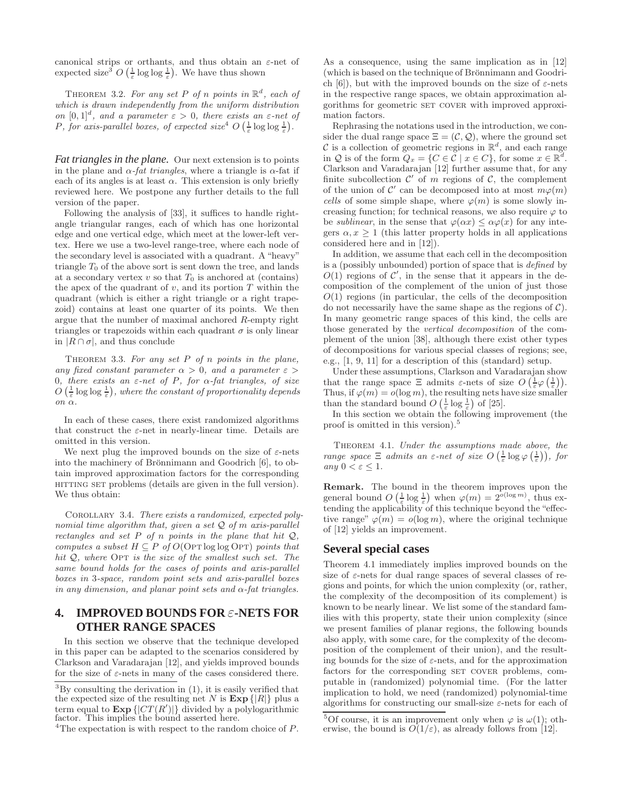canonical strips or orthants, and thus obtain an ε-net of expected size<sup>3</sup>  $O\left(\frac{1}{\varepsilon}\log\log\frac{1}{\varepsilon}\right)$ . We have thus shown

THEOREM 3.2. For any set P of n points in  $\mathbb{R}^d$ , each of which is drawn independently from the uniform distribution on  $[0,1]^d$ , and a parameter  $\varepsilon > 0$ , there exists an  $\varepsilon$ -net of P, for axis-parallel boxes, of expected size<sup>4</sup>  $O\left(\frac{1}{\varepsilon} \log \log \frac{1}{\varepsilon}\right)$ .

*Fat triangles in the plane.* Our next extension is to points in the plane and  $\alpha$ -fat triangles, where a triangle is  $\alpha$ -fat if each of its angles is at least  $\alpha$ . This extension is only briefly reviewed here. We postpone any further details to the full version of the paper.

Following the analysis of [33], it suffices to handle rightangle triangular ranges, each of which has one horizontal edge and one vertical edge, which meet at the lower-left vertex. Here we use a two-level range-tree, where each node of the secondary level is associated with a quadrant. A "heavy" triangle  $T_0$  of the above sort is sent down the tree, and lands at a secondary vertex v so that  $T_0$  is anchored at (contains) the apex of the quadrant of  $v$ , and its portion  $T$  within the quadrant (which is either a right triangle or a right trapezoid) contains at least one quarter of its points. We then argue that the number of maximal anchored R-empty right triangles or trapezoids within each quadrant  $\sigma$  is only linear in  $|R \cap \sigma|$ , and thus conclude

THEOREM 3.3. For any set  $P$  of  $n$  points in the plane, any fixed constant parameter  $\alpha > 0$ , and a parameter  $\varepsilon > 0$ 0, there exists an  $\varepsilon$ -net of P, for  $\alpha$ -fat triangles, of size  $O\left(\frac{1}{\varepsilon}\log\log\frac{1}{\varepsilon}\right)$ , where the constant of proportionality depends  $\overline{on} \ \overline{\alpha}$ 

In each of these cases, there exist randomized algorithms that construct the  $\varepsilon$ -net in nearly-linear time. Details are omitted in this version.

We next plug the improved bounds on the size of  $\varepsilon$ -nets into the machinery of Brönnimann and Goodrich  $[6]$ , to obtain improved approximation factors for the corresponding hitting set problems (details are given in the full version). We thus obtain:

Corollary 3.4. There exists a randomized, expected polynomial time algorithm that, given a set  $Q$  of m axis-parallel rectangles and set  $P$  of n points in the plane that hit  $Q$ . computes a subset  $H \subseteq P$  of  $O(\text{OPT} \log \log \text{OPT})$  points that hit  $Q$ , where Op $T$  is the size of the smallest such set. The same bound holds for the cases of points and axis-parallel boxes in 3-space, random point sets and axis-parallel boxes in any dimension, and planar point sets and  $\alpha$ -fat triangles.

# **4. IMPROVED BOUNDS FOR** ε**-NETS FOR OTHER RANGE SPACES**

In this section we observe that the technique developed in this paper can be adapted to the scenarios considered by Clarkson and Varadarajan [12], and yields improved bounds for the size of  $\varepsilon$ -nets in many of the cases considered there.

As a consequence, using the same implication as in [12] (which is based on the technique of Brönnimann and Goodrich [6]), but with the improved bounds on the size of  $\varepsilon$ -nets in the respective range spaces, we obtain approximation algorithms for geometric SET COVER with improved approximation factors.

Rephrasing the notations used in the introduction, we consider the dual range space  $\Xi = (\mathcal{C}, \mathcal{Q})$ , where the ground set C is a collection of geometric regions in  $\mathbb{R}^d$ , and each range in Q is of the form  $Q_x = \{C \in \mathcal{C} \mid x \in C\}$ , for some  $x \in \mathbb{R}^d$ . Clarkson and Varadarajan [12] further assume that, for any finite subcollection  $\mathcal{C}'$  of m regions of  $\mathcal{C}$ , the complement of the union of  $\mathcal{C}'$  can be decomposed into at most  $m\varphi(m)$ cells of some simple shape, where  $\varphi(m)$  is some slowly increasing function; for technical reasons, we also require  $\varphi$  to be *sublinear*, in the sense that  $\varphi(\alpha x) \leq \alpha \varphi(x)$  for any integers  $\alpha, x \geq 1$  (this latter property holds in all applications considered here and in [12]).

In addition, we assume that each cell in the decomposition is a (possibly unbounded) portion of space that is defined by  $O(1)$  regions of  $C'$ , in the sense that it appears in the decomposition of the complement of the union of just those  $O(1)$  regions (in particular, the cells of the decomposition do not necessarily have the same shape as the regions of  $C$ ). In many geometric range spaces of this kind, the cells are those generated by the vertical decomposition of the complement of the union [38], although there exist other types of decompositions for various special classes of regions; see, e.g., [1, 9, 11] for a description of this (standard) setup.

Under these assumptions, Clarkson and Varadarajan show that the range space  $\Xi$  admits  $\varepsilon$ -nets of size  $O\left(\frac{1}{\varepsilon}\varphi\left(\frac{1}{\varepsilon}\right)\right)$ . Thus, if  $\varphi(m) = o(\log m)$ , the resulting nets have size smaller than the standard bound  $O\left(\frac{1}{\varepsilon}\log\frac{1}{\varepsilon}\right)$  of [25].

In this section we obtain the following improvement (the proof is omitted in this version).<sup>5</sup>

Theorem 4.1. Under the assumptions made above, the range space  $\Xi$  admits an  $\varepsilon$ -net of size  $O\left(\frac{1}{\varepsilon}\log \varphi\left(\frac{1}{\varepsilon}\right)\right)$ , for any  $0 < \varepsilon \leq 1$ .

Remark. The bound in the theorem improves upon the general bound  $O\left(\frac{1}{\varepsilon}\log\frac{1}{\varepsilon}\right)$  when  $\varphi(m) = 2^{o(\log m)}$ , thus extending the applicability of this technique beyond the "effective range"  $\varphi(m) = o(\log m)$ , where the original technique of [12] yields an improvement.

#### **Several special cases**

Theorem 4.1 immediately implies improved bounds on the size of  $\varepsilon$ -nets for dual range spaces of several classes of regions and points, for which the union complexity (or, rather, the complexity of the decomposition of its complement) is known to be nearly linear. We list some of the standard families with this property, state their union complexity (since we present families of planar regions, the following bounds also apply, with some care, for the complexity of the decomposition of the complement of their union), and the resulting bounds for the size of  $\varepsilon$ -nets, and for the approximation factors for the corresponding SET COVER problems, computable in (randomized) polynomial time. (For the latter implication to hold, we need (randomized) polynomial-time algorithms for constructing our small-size  $\varepsilon$ -nets for each of

 ${}^{3}$ By consulting the derivation in  $(1)$ , it is easily verified that the expected size of the resulting net N is  $\mathbf{Exp} \{|R|\}$  plus a term equal to  $\text{Exp} \left\{ |CT(R')|\right\}$  divided by a polylogarithmic factor. This implies the bound asserted here.

<sup>&</sup>lt;sup>4</sup>The expectation is with respect to the random choice of  $P$ .

<sup>&</sup>lt;sup>5</sup>Of course, it is an improvement only when  $\varphi$  is  $\omega(1)$ ; otherwise, the bound is  $O(1/\varepsilon)$ , as already follows from [12].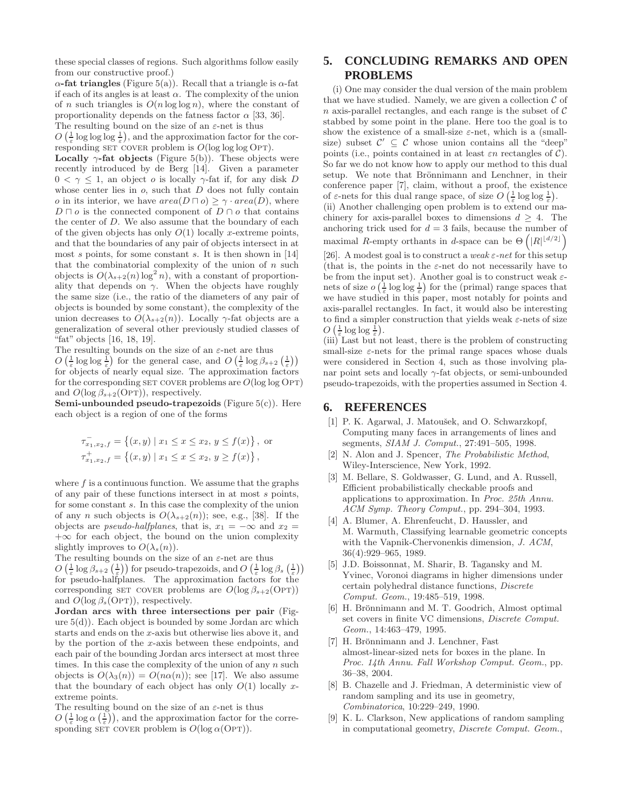these special classes of regions. Such algorithms follow easily from our constructive proof.)

 $\alpha$ -fat triangles (Figure 5(a)). Recall that a triangle is  $\alpha$ -fat if each of its angles is at least  $\alpha$ . The complexity of the union of n such triangles is  $O(n \log \log n)$ , where the constant of proportionality depends on the fatness factor  $\alpha$  [33, 36]. The resulting bound on the size of an  $\varepsilon$ -net is thus

 $O\left(\frac{1}{\varepsilon}\log\log\frac{1}{\varepsilon}\right)$ , and the approximation factor for the corresponding SET COVER problem is  $O(\log \log \log \text{OPT})$ .

**Locally**  $\gamma$ **-fat objects** (Figure 5(b)). These objects were recently introduced by de Berg [14]. Given a parameter  $0 \leq \gamma \leq 1$ , an object *o* is locally  $\gamma$ -fat if, for any disk *D* whose center lies in  $o$ , such that  $D$  does not fully contain o in its interior, we have  $area(D \sqcap o) \geq \gamma \cdot area(D)$ , where  $D \sqcap o$  is the connected component of  $D \cap o$  that contains the center of D. We also assume that the boundary of each of the given objects has only  $O(1)$  locally x-extreme points, and that the boundaries of any pair of objects intersect in at most  $s$  points, for some constant  $s$ . It is then shown in [14] that the combinatorial complexity of the union of  $n$  such objects is  $O(\lambda_{s+2}(n) \log^2 n)$ , with a constant of proportionality that depends on  $\gamma$ . When the objects have roughly the same size (i.e., the ratio of the diameters of any pair of objects is bounded by some constant), the complexity of the union decreases to  $O(\lambda_{s+2}(n))$ . Locally  $\gamma$ -fat objects are a generalization of several other previously studied classes of "fat" objects [16, 18, 19].

The resulting bounds on the size of an  $\varepsilon$ -net are thus

 $O\left(\frac{1}{\varepsilon}\log\log\frac{1}{\varepsilon}\right)$  for the general case, and  $O\left(\frac{1}{\varepsilon}\log\beta_{s+2}\left(\frac{1}{\varepsilon}\right)\right)$ for objects of nearly equal size. The approximation factors for the corresponding SET COVER problems are  $O(\log \log \text{OPT})$ and  $O(\log \beta_{s+2}(\text{OPT}))$ , respectively.

Semi-unbounded pseudo-trapezoids (Figure  $5(c)$ ). Here each object is a region of one of the forms

$$
\tau_{x_1, x_2, f}^{-} = \{(x, y) \mid x_1 \le x \le x_2, y \le f(x)\},
$$
 or  

$$
\tau_{x_1, x_2, f}^{+} = \{(x, y) \mid x_1 \le x \le x_2, y \ge f(x)\},
$$

where  $f$  is a continuous function. We assume that the graphs of any pair of these functions intersect in at most s points, for some constant s. In this case the complexity of the union of any *n* such objects is  $O(\lambda_{s+2}(n))$ ; see, e.g., [38]. If the objects are *pseudo-halfplanes*, that is,  $x_1 = -\infty$  and  $x_2 =$  $+\infty$  for each object, the bound on the union complexity slightly improves to  $O(\lambda_s(n))$ .

The resulting bounds on the size of an  $\varepsilon$ -net are thus

 $O\left(\frac{1}{\varepsilon}\log \beta_{s+2}\left(\frac{1}{\varepsilon}\right)\right)$  for pseudo-trapezoids, and  $O\left(\frac{1}{\varepsilon}\log \beta_s\left(\frac{1}{\varepsilon}\right)\right)$ for pseudo-halfplanes. The approximation factors for the corresponding SET COVER problems are  $O(\log \beta_{s+2}(\text{OPT}))$ and  $O(\log \beta_s(\text{OPT}))$ , respectively.

Jordan arcs with three intersections per pair (Figure  $5(d)$ ). Each object is bounded by some Jordan arc which starts and ends on the x-axis but otherwise lies above it, and by the portion of the  $x$ -axis between these endpoints, and each pair of the bounding Jordan arcs intersect at most three times. In this case the complexity of the union of any  $n$  such objects is  $O(\lambda_3(n)) = O(n\alpha(n))$ ; see [17]. We also assume that the boundary of each object has only  $O(1)$  locally xextreme points.

The resulting bound on the size of an  $\varepsilon$ -net is thus

 $O\left(\frac{1}{\varepsilon}\log \alpha\left(\frac{1}{\varepsilon}\right)\right)$ , and the approximation factor for the corresponding SET COVER problem is  $O(\log \alpha(OPT)).$ 

## **5. CONCLUDING REMARKS AND OPEN PROBLEMS**

(i) One may consider the dual version of the main problem that we have studied. Namely, we are given a collection  $C$  of  $n$  axis-parallel rectangles, and each range is the subset of  $C$ stabbed by some point in the plane. Here too the goal is to show the existence of a small-size  $\varepsilon$ -net, which is a (smallsize) subset  $\mathcal{C}' \subseteq \mathcal{C}$  whose union contains all the "deep" points (i.e., points contained in at least  $\varepsilon n$  rectangles of  $\mathcal{C}$ ). So far we do not know how to apply our method to this dual setup. We note that Brönnimann and Lenchner, in their conference paper [7], claim, without a proof, the existence of  $\varepsilon$ -nets for this dual range space, of size  $O\left(\frac{1}{\varepsilon}\log\log\frac{1}{\varepsilon}\right)$ .

(ii) Another challenging open problem is to extend our machinery for axis-parallel boxes to dimensions  $d \geq 4$ . The anchoring trick used for  $d = 3$  fails, because the number of maximal R-empty orthants in d-space can be  $\Theta\left(|R|^{\lfloor d/2 \rfloor}\right)$ 

[26]. A modest goal is to construct a weak  $\varepsilon$ -net for this setup (that is, the points in the  $\varepsilon$ -net do not necessarily have to be from the input set). Another goal is to construct weak  $\varepsilon$ nets of size  $o\left(\frac{1}{\varepsilon}\log\log\frac{1}{\varepsilon}\right)$  for the (primal) range spaces that we have studied in this paper, most notably for points and axis-parallel rectangles. In fact, it would also be interesting to find a simpler construction that yields weak  $\varepsilon$ -nets of size  $O\left(\frac{1}{\varepsilon}\log\log\frac{1}{\varepsilon}\right).$ 

(iii) Last but not least, there is the problem of constructing small-size  $\varepsilon$ -nets for the primal range spaces whose duals were considered in Section 4, such as those involving planar point sets and locally  $\gamma$ -fat objects, or semi-unbounded pseudo-trapezoids, with the properties assumed in Section 4.

## **6. REFERENCES**

- [1] P. K. Agarwal, J. Matoušek, and O. Schwarzkopf, Computing many faces in arrangements of lines and segments, SIAM J. Comput., 27:491–505, 1998.
- [2] N. Alon and J. Spencer, The Probabilistic Method, Wiley-Interscience, New York, 1992.
- [3] M. Bellare, S. Goldwasser, G. Lund, and A. Russell, Efficient probabilistically checkable proofs and applications to approximation. In Proc. 25th Annu. ACM Symp. Theory Comput., pp. 294–304, 1993.
- [4] A. Blumer, A. Ehrenfeucht, D. Haussler, and M. Warmuth, Classifying learnable geometric concepts with the Vapnik-Chervonenkis dimension, J. ACM, 36(4):929–965, 1989.
- [5] J.D. Boissonnat, M. Sharir, B. Tagansky and M. Yvinec, Voronoi diagrams in higher dimensions under certain polyhedral distance functions, Discrete Comput. Geom., 19:485–519, 1998.
- [6] H. Brönnimann and M. T. Goodrich, Almost optimal set covers in finite VC dimensions, Discrete Comput. Geom., 14:463–479, 1995.
- [7] H. Brönnimann and J. Lenchner, Fast almost-linear-sized nets for boxes in the plane. In Proc. 14th Annu. Fall Workshop Comput. Geom., pp. 36–38, 2004.
- [8] B. Chazelle and J. Friedman, A deterministic view of random sampling and its use in geometry, Combinatorica, 10:229–249, 1990.
- [9] K. L. Clarkson, New applications of random sampling in computational geometry, Discrete Comput. Geom.,